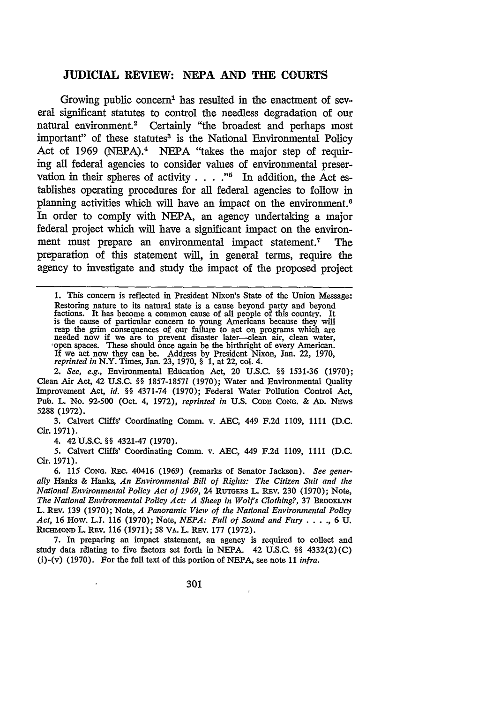## **JUDICIAL REVIEW: NEPA AND THE COURTS**

Growing public concern' has resulted in the enactment of several significant statutes to control the needless degradation of our natural environment.2 Certainly "the broadest and perhaps most important" of these statutes<sup>3</sup> is the National Environmental Policy Act of 1969 (NEPA).<sup>4</sup> NEPA "takes the major step of requiring all federal agencies to consider values of environmental preservation in their spheres of activity. . **."5** In addition, the Act establishes operating procedures for all federal agencies to follow in planning activities which will have an impact on the environment. <sup>6</sup> In order to comply with NEPA, an agency undertaking a major federal project which will have a significant impact on the environment must prepare an environmental impact statement.<sup> $7$ </sup> The preparation of this statement will, in general terms, require the agency to investigate and study the impact of the proposed project

1. This concern is reflected in President Nixon's State of the Union Message: Restoring nature to its natural state is a cause beyond party and beyond factions. It has become a common cause of all people of this country. It is the cause of particular concern to young Americans because they will reap the grim consequences of our failure to act on programs which are needed now if we are to prevent disaster later--clean air, clean water, open spaces. These should once again be the birthright of every American. If we act now they can be. Address by President Nixon, Jan. 22, 1970, *reprinted in* N.Y. Times, Jan. 23, 1970, **§** 1, at 22, col. 4.

2. *See, e.g.,* Environmental Education Act, 20 U.S.C. **§§** 1531-36 (1970); Clean Air Act, 42 U.S.C. **§§** 1857-18571 (1970); Water and Environmental Quality Improvement Act, *id. §§* 4371-74 (1970); Federal Water Pollution Control Act, Pub. L. No. 92-500 (Oct. 4, 1972), *reprinted in* U.S. **CODE** CONG. & AD. NEws 5288 **(1972).**

**3.** Calvert Cliffs' Coordinating Comm. v. **AEC,** 449 **F.2d 1109, 1111 (D.C.** Cir. 1971).

4. 42 U.S.C. §§ 4321-47 (1970).

**5.** Calvert Cliffs' Coordinating Comm. v. **AEC,** 449 **F.2d 1109, 1111 (D.C.** Cir. **1971).**

**6. 115** CoNG. **REc.** 40416 (1969) (remarks of Senator Jackson). *See generally* Hanks & Hanks, *An Environmental Bill of Rights: The Citizen Suit and the National Environmental Policy Act of 1969,* 24 RUTGERS L. REV. 230 (1970); Note, *The National Environmental Policy Act: A Sheep in Wolf's Clothing?,* <sup>37</sup>BROOKLYN L. REv. 139 (1970); Note, *A Panoramic View of the National Environmental Policy Act,* 16 How. **L.** 116 (1970); Note, *NEPA: Full of Sound and Fury .....* 6 U. RIcHMoND L. REv. **116** (1971); 58 VA. L. REV. 177 (1972).

7. In preparing an impact statement, an agency is required to collect and study data relating to five factors set forth in NEPA. 42 U.S.C. **§§** 4332(2)(C) (i)-(v) (1970). For the full text of this portion of NEPA, see note 11 *infra.*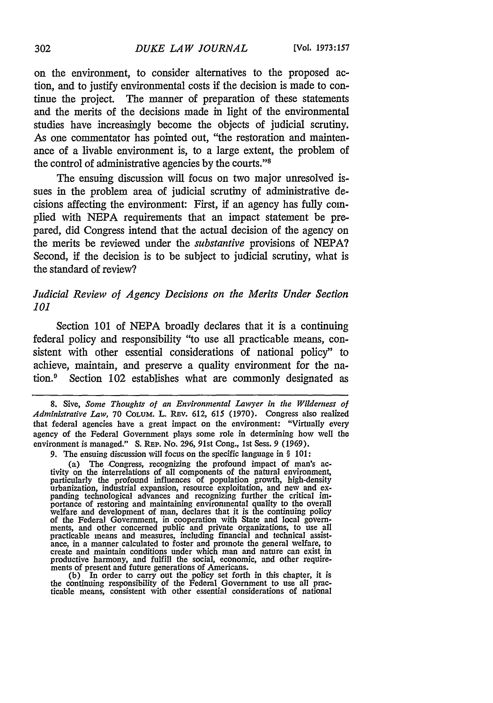on the environment, to consider alternatives to the proposed action, and to justify environmental costs if the decision is made to continue the project. The manner of preparation of these statements and the merits of the decisions made in light of the environmental studies have increasingly become the objects of judicial scrutiny. As one commentator has pointed out, "the restoration and maintenance of a livable environment is, to a large extent, the problem of the control of administrative agencies by the courts."

The ensuing discussion will focus on two major unresolved issues in the problem area of judicial scrutiny of administrative decisions affecting the environment: First, if an agency has fully complied with NEPA requirements that an impact statement be prepared, did Congress intend that the actual decision of the agency on the merits be reviewed under the *substantive* provisions of NEPA? Second, if the decision is to be subject to judicial scrutiny, what is the standard of review?

## *Judicial Review of Agency Decisions on the Merits Under Section 101*

Section 101 of NEPA broadly declares that it is a continuing federal policy and responsibility "to use all practicable means, consistent with other essential considerations of national policy" to achieve, maintain, and preserve a quality environment for the nation.9 Section 102 establishes what are commonly designated as

8. Sive, *Some Thoughts of an Environmental Lawyer in the Wilderness of* Administrative Law, 70 COLUM. L. REV. 612, 615 (1970). Congress also realized that federal agencies have a great impact on the environment: "Virtually every agency of the Federal Government plays some role in determining how well the environment is managed." S. REP. No. 296, 91st Cong., 1st Sess. 9 (1969).

9. The ensuing discussion will focus on the specific language in § 101:

(a) The -Congress, recognizing the profound impact of man's ac- tivity on the interrelations of all components of the natural environment, particularly the profound influences of population growth, high-density<br>urbanization, industrial expansion, resource exploitation, and new and ex-<br>panding technological advances and recognizing further the critical im-<br>por ments, and other concerned public and private organizations, to use all practicable means and measures, including financial and technical assist-ance, in a manner calculated to foster and promote the general welfare, to create and maintain conditions under which man and nature can exist in productive harmony, and fulfill the social, economic, and other require-ments of present and future generations of Americans.

(b) In order to carry out the policy set forth in this chapter, it is the continuing responsibility of the Federal Government to use all prac- ticable means, consistent with other essential considerations of national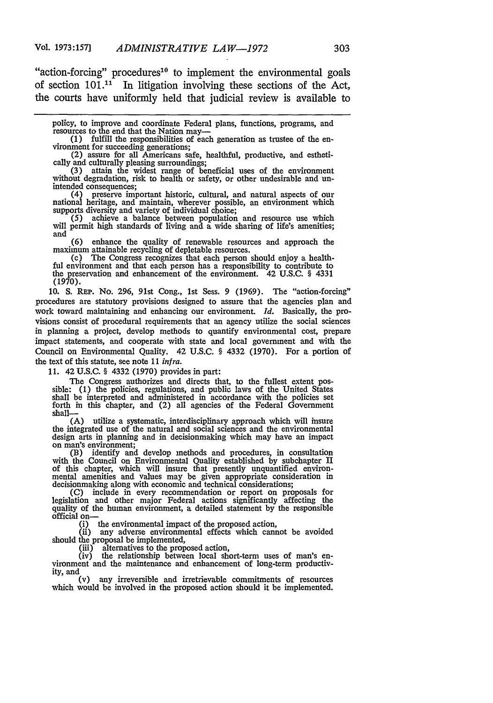"action-forcing" procedures<sup>10</sup> to implement the environmental goals of section  $101^{11}$  In litigation involving these sections of the Act, the courts have uniformly held that judicial review is available to

policy, to improve and coordinate Federal plans, functions, programs, and resources to the end that the Nation may—<br>(1) fulfill the responsibilities of each generation as trustee of the en-

(1) fulfill the responsibilities of each generation as trustee of the en- vironment for succeeding generations; (2) assure for all Americans safe, healthful, productive, and estheti-

cally and culturally pleasing surroundings;

(3) attain the widest range of beneficial uses of the environment without degradation, risk to health or safety, or other undesirable and unitended consequences;<br>(4) preserve important historic, cultural, and natural aspects of our<br>national heritage, and maintain, wherever possible, an e

supports diversity and variety of individual choice;

(5) achieve a balance between population and resource use which will permit high standards of living and a wide sharing of life's amenities; and

(6) enhance the quality of renewable resources and approach the

(c) The Congress recognizes that each person should enjoy a healthful environment and that each person has a responsibility to contribute to the preservation and enhancement of the environment. 42 U.S.C. § 4331 (1970).

10. S. REP. No. 296, 91st Cong., 1st Sess. 9 (1969). The "action-forcing" procedures are statutory provisions designed to assure that the agencies plan and work toward maintaining and enhancing our environment. *Id.* Basically, the provisions consist of procedural requirements that an agency utilize the social sciences in planning a project, develop methods to quantify environmental cost, prepare impact statements, and cooperate with state and local government and with the Council on Environmental Quality. 42 U.S.C. § 4332 (1970). For a portion of the text of this statute, see note 11 *infra*.

11. 42 U.S.C. § 4332 (1970) provides in part:

The Congress authorizes and directs that, to the fullest extent pos-<br>sible: (1) the policies, regulations, and public laws of the United States<br>shall be interpreted and administered in accordance with the policies set forth in this chapter, and (2) all agencies of the Federal Government shall-

**(A)** utilize a systematic, interdisciplinary approach which will insure the integrated use of the natural and social sciences and the environmental design arts in planning and in decisionmaking which may have an impact on man's environment;

(B) identify and develop methods and procedures, in consultation with the Council on Environmental Quality established by subchapter II of this chapter, which will insure that presently unquantified environmental amenities and values may be given appropriate consideration in decisionmaking along with economic and technical considerations;

(C) include in every recommendation or report on proposals for legislation and other major Federal actions significantly affecting the quality of the human environment, a detailed statement by the responsible official on-

(i) the environmental impact of the proposed action, (ii) any adverse environmental effects which cannot be avoided should the proposal be implemented,

(iii) alternatives to the proposed action,<br>(iv) the relationship between local short-term uses of man's environment and the maintenance and enhancement of long-term productivity, and

(v) any irreversible and irretrievable commitments of resources which would be involved in the proposed action should it be implemented.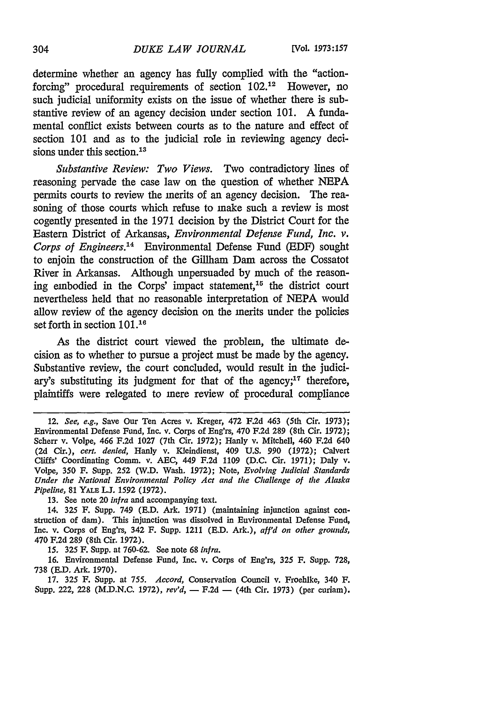determine whether an agency has fully complied with the "actionforcing" procedural requirements of section 102.12 However, no such judicial uniformity exists on the issue of whether there is substantive review of an agency decision under section 101. A fundamental conflict exists between courts as to the nature and effect of section 101 and as to the judicial role in reviewing agency decisions under this section.<sup>13</sup>

*Substantive Review: Two Views.* Two contradictory lines of reasoning pervade the case law on the question of whether NEPA permits courts to review the merits of an agency decision. The reasoning of those courts which refuse to make such a review is most cogently presented in the 1971 decision by the District Court for the Eastern District of Arkansas, *Environmental Defense Fund, Inc. v. Corps of Engineers.14* Environmental Defense Fund (EDE) sought to enjoin the construction of the Gillham Dam across the Cossatot River in Arkansas. Although unpersuaded by much of the reasoning embodied in the Corps' impact statement,<sup>15</sup> the district court nevertheless held that no reasonable interpretation of **NEPA** would allow review of the agency decision on the merits under the policies set forth in section  $101^{16}$ 

As the district court viewed the problem, the ultimate decision as to whether to pursue a project must be made by the agency. Substantive review, the court concluded, would result in the judiciary's substituting its judgment for that of the agency;<sup>17</sup> therefore, plaintiffs were relegated to mere review of procedural compliance

15. 325 F. Supp. at 760-62. See note 68 *infra.*

16. Environmental Defense Fund, Inc. v. Corps of Eng'rs, 325 F. Supp. 728, 738 (E.D. Ark. 1970).

17. 325 F. Supp. at 755. *Accord,* Conservation Council v. Froehlke, 340 F. Supp. 222, 228 (M.D.N.C. 1972),  $rev'd$ , - F.2d - (4th Cir. 1973) (per curiam).

<sup>12.</sup> See, e.g., Save Our Ten Acres v. Kreger, 472 F.2d 463 (5th Cir. 1973); Environmental Defense Fund, Inc. v. Corps of Eng'rs, 470 F.2d 289 (8th Cir. 1972); Scherr v. Volpe, 466 F.2d 1027 (7th Cir. 1972); Hanly v. Mitchell, 460 F.2d 640 (2d Cir.), cert. *denied,* Hanly v. Kleindienst, 409 U.S. 990 (1972); Calvert Cliffs' Coordinating Comm. v. AEC, 449 F.2d 1109 (D.C. Cir. 1971); Daly v. Volpe, 350 F. Supp. 252 (W.D. Wash. 1972); Note, *Evolving Judicial Standards Under the National Environmental Policy Act and the Challenge of the Alaska Pipeline, 81 YALE L.J. 1592 (1972).* 

<sup>13.</sup> See note 20 *infra* and accompanying text.

<sup>14. 325</sup> F. Supp. 749 (E.D. Ark. 1971) (maintaining injunction against construction of dam). This injunction was dissolved in Environmental Defense Fund, Inc. v. Corps of Eng'rs, 342 F. Supp. 1211 (E.D. Ark.), *af'd on other grounds,* 470 F.2d 289 (8th Cir. 1972).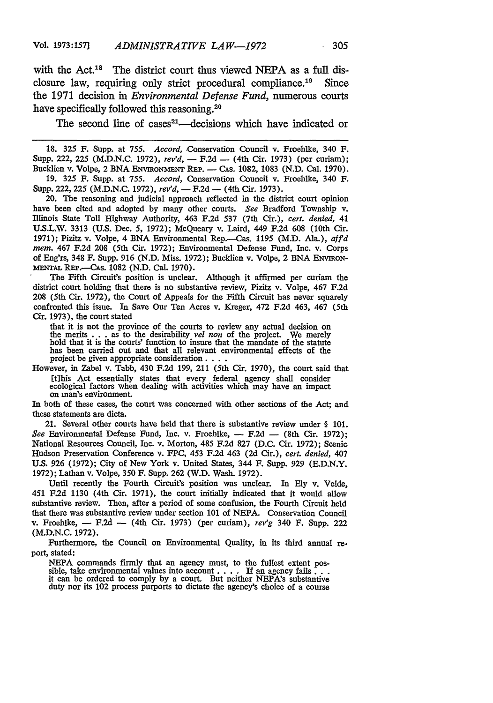with the Act.<sup>18</sup> The district court thus viewed NEPA as a full disclosure law, requiring only strict procedural compliance.<sup>19</sup> Since the **1971** decision in *Environmental Defense Fund,* numerous courts have specifically followed this reasoning.<sup>20</sup>

The second line of cases $21$ -decisions which have indicated or

18. 325 F. Supp. at 755. *Accord,* Conservation Council v. Froehlke, 340 F. Supp. 222, 225 (M.D.N.C. 1972), *rev'd*, — F.2d — (4th Cir. 1973) (per curiam); Bucklien v. Volpe, 2 BNA ENVIRONMENT REP. - CAS. 1082, 1083 (N.D. Cal. 1970). 19. 325 F. Supp. at 755. *Accord,* Conservation Council v. Froehlke, 340 F.

Supp. 222, 225 (M.D.N.C. 1972),  $rev'd$ , - F.2d - (4th Cir. 1973).

20. The reasoning and judicial approach reflected in the district court opinion have been cited and adopted by many other courts. *See* Bradford Township v. Illinois State Toll Highway Authority, 463 F.2d **537** (7th Cir.), *cert. denied,* 41 U.S.L.W. 3313 (U.S. Dec. 5, 1972); McQueary v. Laird, 449 F.2d 608 (10th Cir. 1971); Pizitz v. Volpe, 4 BNA Environmental Rep.-Cas. 1195 (M.D. Ala.), *aff'd mem.* 467 F.2d 208 (5th Cir. 1972); Environmental Defense Fund, Inc. v. Corps of Eng'rs, 348 F. Supp. 916 (N.D. Miss. 1972); Bucklien v. Volpe, 2 BNA ENvmON-**MENTAL** REP.-CAs. 1082 **(N.D.** Cal. 1970).

The Fifth Circuit's position is unclear. Although it affirmed per curian the district court holding that there is no substantive review, Pizitz v. Volpe, 467 F.2d 208 (5th Cir. 1972), the Court of Appeals for the Fifth Circuit has never squarely confronted this issue. In Save Our Ten Acres v. Kreger, 472 F.2d 463, 467 (5th Cir. 1973), the court stated

that it is not the province of the courts to review any actual decision on the merits  $\dots$  as to the desirability *vel non* of the project. We merely hold that it is the courts' function to insure that the mandate of the project be given appropriate consideration. .**..**

However, in Zabel v. Tabb, 430 F.2d 199, 211 (5th Cir. 1970), the court said that [tihis Act essentially states that every federal agency shall consider ecological factors when dealing with activities which may have an impact on man's environment.

In both of these cases, the court was concerned with other sections of the Act; and these statements are dicta.

21. Several other courts have held that there is substantive review under § 101. See Environmental Defense Fund, Inc. v. Froehlke, - F.2d - (8th Cir. 1972); National Resources Council, Inc. v. Morton, 485 F.2d 827 (D.C. Cir. 1972); Scenic Hudson Preservation Conference v. FP.C, 453 F.2d 463 **(2d** Cir.), *cert. denied,* 407 **U.S. 926** (1972); City of New York v. United States, 344 F. Supp. 929 (E.D.N.Y. 1972); Lathan v. Volpe, 350 F. Supp. **262** (W.D. Wash. 1972).

Until recently the Fourth Circuit's position was unclear. In **Ely** v. Velde, 451 F.2d 1130 (4th Cir. 1971), the court initially indicated that it would allow substantive review. Then, after a period of some confusion, the Fourth Circuit held that there was substantive review under section 101 of NEPA. Conservation Council v. Froehlke,  $-$  F.2d  $-$  (4th Cir. 1973) (per curiam),  $rev'g$  340 F. Supp. 222 **(M.D.N.C. 1972).**

Furthermore, the Council on Environmental Quality, in its third annual report, stated:

**NEPA** commands firmly that an agency must, to the fullest extent possible, take environmental values into account . . . . If an agency fails. it can be ordered to comply by a court. But neither NEPA's substantive duty nor its 102 process purports to dictate the agency's choice of a course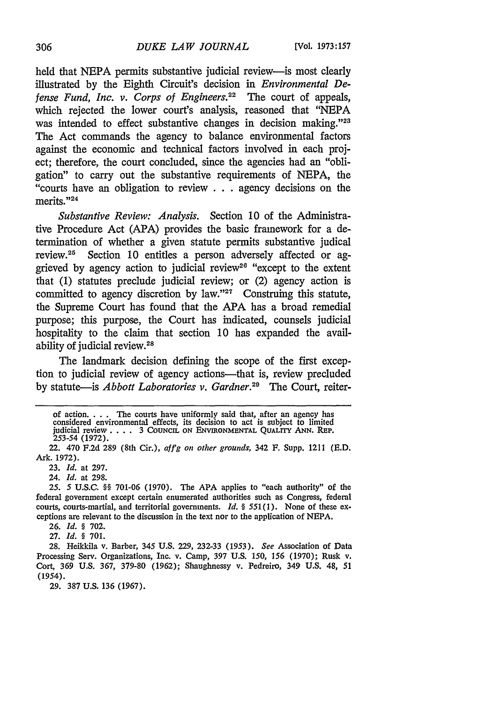held that NEPA permits substantive judicial review-is most clearly illustrated by the Eighth Circuit's decision in *Environmental Defense Fund, Inc. v. Corps of Engineers.*<sup>22</sup> The court of appeals, which rejected the lower court's analysis, reasoned that "NEPA was intended to effect substantive changes in decision making."23 The Act commands the agency to balance environmental factors against the economic and technical factors involved in each project; therefore, the court concluded, since the agencies had an "obligation" to carry out the substantive requirements of NEPA, the "courts have an obligation to review .. . agency decisions on the merits."24

*Substantive Review: Analysis.* Section 10 of the Administrative Procedure Act (APA) provides the basic framework for a determination of whether a given statute permits substantive judical review. 25 Section 10 entities a person adversely affected or aggrieved by agency action to judicial review<sup>26</sup> "except to the extent that (1) statutes preclude judicial review; or (2) agency action is committed to agency discretion by law."<sup>27</sup> Construing this statute, the Supreme Court has found that the APA has a broad remedial purpose; this purpose, the Court has indicated, counsels judicial hospitality to the claim that section 10 has expanded the availability of judicial review.28

The landmark decision defining the scope of the first exception to judicial review of agency actions-that is, review precluded by statute-is *Abbott Laboratories v. Gardner.20* The Court, reiter-

**23.** *Id.* at 297.

24. *Id.* at 298.

26. *Id. §* 702.

27. *Id. §* 701.

28. Heikkila v. Barber, 345 U.S. 229, 232-33 *(1953). See* Association of Data Processing Serv. Organizations, Inc. v. Camp, 397 U.S. 150, *156* (1970); Rusk v. Cort, 369 U.S. 367, 379-80 (1962); Shaughnessy v. Pedreiro, 349 U.S. 48, 51 *(1954).*

29. 387 U.S. 136 (1967).

of action. . **.** . The courts have uniformly said that, after an agency has considered environmental effects, its decision to act is subject to limited judicial review ... . 3 **COUNCIL ON ENVIRONMENTAL** QUALITY **ANN. REP.** 253-54 (1972).

<sup>22. 470</sup> F.2d 289 (8th Cir.), *affg on other grounds,* 342 F. Supp. 1211 (E.D. Ark. 1972).

*<sup>25. 5</sup>* U.S.C. §§ 701-06 (1970). The APA applies to "each authority" of the federal government except certain enumerated authorities such as Congress, federal courts, courts-martial, and territorial governments. *Id. §* 551(1). None of these exceptions are relevant to the discussion in the text nor to the application of NEPA.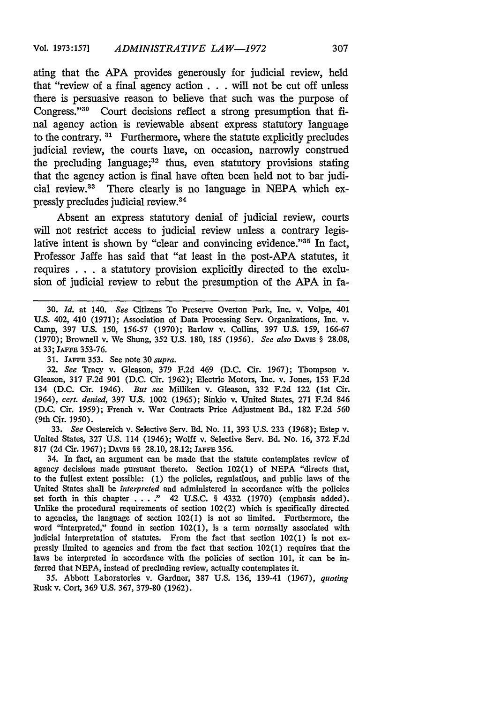ating that the **APA** provides generously for judicial review, held that "review of a final agency action. **.** will not be cut off unless there is persuasive reason to believe that such was the purpose of Congress." $30$  Court decisions reflect a strong presumption that final agency action is reviewable absent express statutory language to the contrary. **11** Furthermore, where the statute explicitly precludes judicial review, the courts have, on occasion, narrowly construed the precluding language; $32$  thus, even statutory provisions stating that the agency action is final have often been held not to bar judicial review.<sup>33</sup> There clearly is no language in NEPA which expressly precludes judicial review.<sup>34</sup>

Absent an express statutory denial of judicial review, courts will not restrict access to judicial review unless a contrary legislative intent is shown by "clear and convincing evidence."35 In fact, Professor Jaffe has said that "at least in the post-APA statutes, it requires . . . a statutory provision explicitly directed to the exclusion of judicial review to rebut the presumption of the **APA** in fa-

30. *Id.* at 140. *See* Citizens To Preserve Overton Park, Inc. v. Volpe, 401 U.S. 402, 410 (1971); Association of Data Processing Serv. Organizations, Inc. v. Camp, 397 U.S. 150, 156-57 (1970); Barlow v. Collins, 397 U.S. 159, 166-67 (1970); Brownell v. We Shung, 352 U.S. 180, 185 *(1956). See also* DAvis § 28.08, at 33; **JAFFE** 353-76.

31. **JAFFE** 353. See note 30 *supra.*

32. *See* Tracy v. Gleason, 379 F.2d 469 (D.C. Cir. 1967); Thompson v. Gleason, 317 F.2d 901 (D.C. Cir. 1962); Electric Motors, Inc. v. Jones, 153 F.2d 134 (D.C. Cir. 1946). *But see* Milliken v. Gleason, 332 F.2d 122 (1st Cir. 1964), *cert. denied,* 397 U.S. 1002 (1965); Sinkio v. United States, 271 F.2d 846 (D.C. Cir. 1959); French v. War Contracts Price Adjustment Bd., 182 F.2d 560 (9th Cir. 1950).

33. *See* Oestereich v. Selective Serv. Bd. No. 11, 393 U.S. 233 (1968); Estep v. United States, 327 U.S. 114 (1946); Wolff v. Selective Serv. Bd. No. **16,** 372 F.2d 817 (2d Cir. 1967); DAvis §§ 28.10, 28.12; **JAFFE** 356.

34. In fact, an argument can be made that the statute contemplates review of agency decisions made pursuant thereto. Section 102(1) of NEPA "directs that, to the fullest extent possible: (1) the policies, regulations, and public laws of the United States shall be *interpreted* and administered in accordance with the policies set forth in this chapter .**. . ."** 42 U.S.C. § 4332 (1970) (emphasis added). Unlike the procedural requirements of section 102(2) which is specifically directed to agencies, the language of section 102(1) is not so limited. Furthermore, the word "interpreted," found in section 102(1), is a term normally associated with judicial interpretation of statutes. From the fact that section 102(1) is not expressly limited to agencies and from the fact that section 102(1) requires that the laws **be** interpreted in accordance with the policies of section 101, it can be inferred that NEPA, instead of precluding review, actually contemplates it.

35. Abbott Laboratories v. Gardner, 387 U.S. 136, 139-41 (1967), *quoting* Rusk v. Cort, 369 U.S. 367, 379-80 (1962).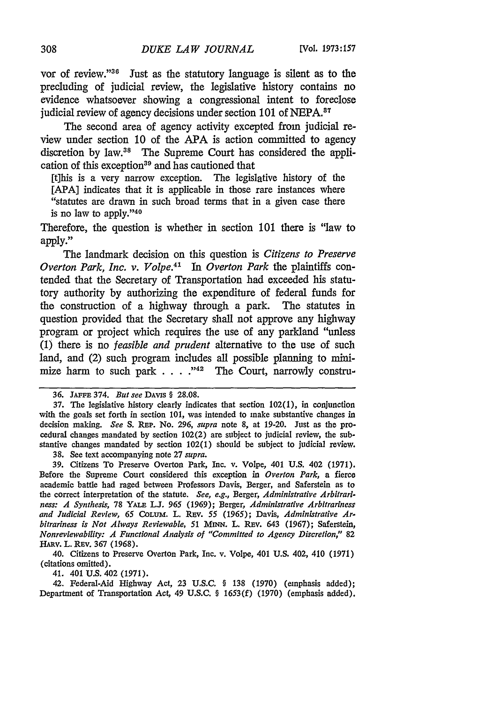vor of review."<sup>36</sup> Just as the statutory language is silent as to the precluding of judicial review, the legislative history contains no evidence whatsoever showing a congressional intent to foreclose judicial review of agency decisions under section 101 of NEPA.<sup>87</sup>

The second area of agency activity excepted from judicial review under section 10 of the APA is action committed to agency discretion by law.<sup>38</sup> The Supreme Court has considered the application of this exception<sup>39</sup> and has cautioned that

[t]his is a very narrow exception. The legislative history of the [APA] indicates that it is applicable in those rare instances where "statutes are drawn in such broad terms that in a given case there is no law to apply."40

Therefore, the question is whether in section 101 there is "law to apply."

The landmark decision on this question is *Citizens to Preserve Overton Park, Inc. v. Volpe.41 In Overton Park* the plaintiffs contended that the Secretary of Transportation had exceeded his statutory authority by authorizing the expenditure of federal funds for the construction of a highway through a park. The statutes in question provided that the Secretary shall not approve any highway program or project which requires the use of any parkland "unless **(1)** there is no *feasible and prudent* alternative to the use of such land, and (2) such program includes all possible planning to minimize harm to such park . . . . <sup>742</sup> The Court, narrowly constru-

38. See text accompanying note 27 *supra.*

39. Citizens To Preserve Overton Park, Inc. v. Volpe, 401 **U.S. 402 (1971).** Before the Supreme Court considered this exception in *Overton Park,* a fierce academic battle had raged between Professors Davis, Berger, and Saferstein as to the correct interpretation of the statute. *See, e.g.,* Berger, *Administrative Arbitrariness: A Synthesis,* 78 **YALE L.J.** *965* (1969); Berger, *Administrative Arbitrariness and Judicial Review, 65* **COLmM.** L. knv. *55 (1965);* Davis, *Administrative Ar.* bitrariness is Not Always Reviewable, 51 MINN. L. REV. 643 (1967); Saferstein, *Nonreviewability: A Functional Analysis of "Committed to Agency Discretion,"* 82 HARV. L. REV. 367 (1968).

40. Citizens to Preserve Overton Park, Inc. v. Volpe, 401 U.S. 402, 410 **(1971)** (citations omitted).

41. 401 **U.S.** 402 **(1971).**

42. Federal-Aid Highway Act, 23 U.S.C. § 138 (1970) (emphasis added); Department of Transportation Act, 49 U.S.C. § 1653(f) (1970) (emphasis added).

<sup>36.</sup> **JAFFE** 374. *But see* DAvis § 28.08.

<sup>37.</sup> The legislative history clearly indicates that section 102(1), in conjunction with the goals set forth in section 101, was intended to make substantive changes in decision making. *See* S. REP. No. 296, *supra* note 8, at 19-20. Just as the procedural changes mandated by section 102(2) are subject to judicial review, the substantive changes mandated by section 102(1) should be subject to judicial review.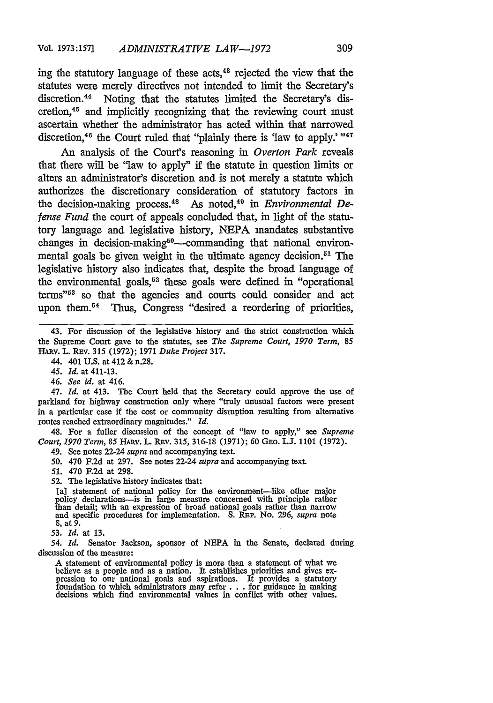ing the statutory language of these acts, $48$  rejected the view that the statutes were merely directives not intended to limit the Secretary's discretion.<sup>44</sup> Noting that the statutes limited the Secretary's discretion,45 and implicitly recognizing that the reviewing court must ascertain whether the administrator has acted within that narrowed discretion, $46$  the Court ruled that "plainly there is 'law to apply.'  $147$ 

An analysis of the Court's reasoning in *Overton Park* reveals that there will be "law to apply" if the statute in question limits or alters an administrator's discretion and is not merely a statute which authorizes the discretionary consideration of statutory factors in the decision-making process.48 As noted, 49 in *Environmental Defense Fund* the court of appeals concluded that, in light of the statutory language and legislative history, NEPA mandates substantive changes in decision-making<sup>50</sup>—commanding that national environmental goals be given weight in the ultimate agency decision.<sup>51</sup> The legislative history also indicates that, despite the broad language of the environmental goals,<sup>52</sup> these goals were defined in "operational terms"58 so that the agencies and courts could consider and act upon them.<sup>54</sup> Thus, Congress "desired a reordering of priorities,

43. For discussion of the legislative history and the strict construction which the Supreme Court gave to the statutes, see *The Supreme Court, 1970 Term,* 85 H v. L. REv. 315 (1972); 1971 *Duke Project* 317.

47. *Id.* at 413. The Court held that the Secretary could approve the use of parkland for highway construction only where "truly unusual factors were present in a particular case if the cost or community disruption resulting from alternative routes reached extraordinary magnitudes." *Id.*

48. For a fuller discussion of the concept of "law to apply," see *Supreme Court, 1970 Term, 85 HARV. L. REV. 315, 316-18 (1971); 60 GEO. L.J. 1101 (1972).* 

49. See notes 22-24 *supra* and accompanying text.

50. 470 F.2d at 297. See notes 22-24 *supra* and accompanying text.

51. 470 F.2d at 298.

52. The legislative history indicates that:

[a] statement of national policy for the environment-like other major policy declarations-is in large measure concerned with principle rather than detail; with an expression of broad national goals rather than narrow and specific procedures for implementation. S. REP. No. 296, *supra* note *8,* at **9.**

*53. Id.* at 13.

54. *Id.* Senator Jackson, sponsor of NEPA in the Senate, declared during discussion of the measure:

A statement of environmental policy is more than a statement of what we believe as a people and as a nation. It establishes priorities and gives expression to our national goals and aspirations. It provides a statutory fou

<sup>44. 401</sup> U.S. at 412 & n.28.

*<sup>45.</sup> Id.* at 411-13.

*<sup>46.</sup> See id.* at 416.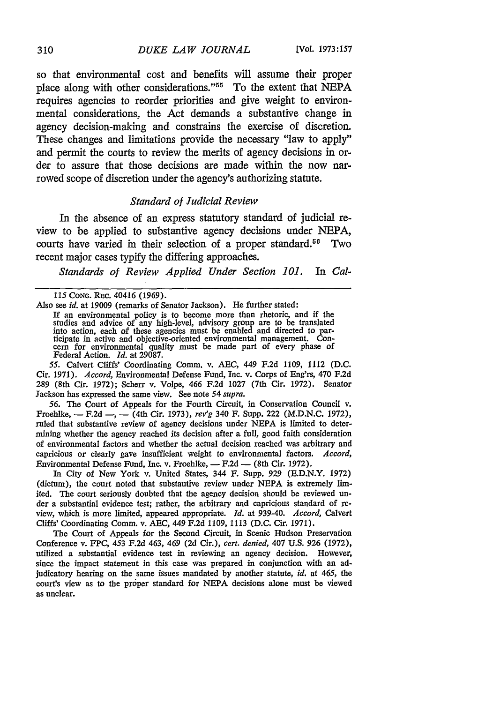so that environmental cost and benefits will assume their proper place along with other considerations."<sup>55</sup> To the extent that NEPA requires agencies to reorder priorities and give weight to environmental considerations, the Act demands a substantive change in agency decision-making and constrains the exercise of discretion. These changes and limitations provide the necessary "law to apply" and permit the courts to review the merits of agency decisions in order to assure that those decisions are made within the now narrowed scope of discretion under the agency's authorizing statute.

## *Standard of Judicial Review*

In the absence of an express statutory standard of judicial review to be applied to substantive agency decisions under **NEPA,** courts have varied in their selection of a proper standard.<sup>56</sup> Two recent major cases typify the differing approaches.

*Standards of Review Applied Under Section 101.* In *Cal-*

55. Calvert Cliffs' Coordinating Comm. v. AEC, 449 F.2d 1109, 1112 (D.C. Cir. 1971). *Accord,* Environmental Defense Fund, Inc. v. Corps of Eng'rs, 470 F.2d 289 (8th Cir. 1972); Scherr v. Volpe, 466 F.2d 1027 (7th Cir. 1972). Senator Jackson has expressed the same view. See note 54 *supra.*

56. The Court of Appeals for the Fourth Circuit, in Conservation Council v. Froehlke, - F.2d -, - (4th Cir. 1973), *rev'g* 340 F. Supp. 222 (M.D.N.C. 1972), ruled that substantive review of agency decisions under NEPA is limited to determining whether the agency reached its decision after a full, good faith consideration of environmental factors and whether the actual decision reached was arbitrary and capricious or clearly gave insufficient weight to environmental factors. *Accord,* Environmental Defense Fund, Inc. v. Froehlke, — F.2d — (8th Cir. 1972).

In City of New York v. United States, 344 F. Supp. 929 (E.D.N.Y. 1972) (dictum), the court noted that substantive review under NEPA is extremely limited. The court seriously doubted that the agency decision should be reviewed under a substantial evidence test; rather, the arbitrary and capricious standard of review, which is more limited, appeared appropriate. *Id.* at 939-40. *Accord,* Calvert Cliffs' Coordinating Comm. v. AEC, 449 F.2d 1109, 1113 (D.C. Cir. 1971).

The Court of Appeals for the Second Circuit, in Scenic Hudson Preservation Conference v. FPC, 453 F.2d 463, 469 (2d Cir.), *cert. denied,* 407 U.S. 926 (1972), utilized a substantial evidence test in reviewing an agency decision. However, since the impact statement in this case was prepared in conjunction with an adjudicatory hearing on the same issues mandated by another statute, *id.* at 465, the court's view as to the proper standard for NEPA decisions alone must be viewed as unclear.

*<sup>115</sup> CONG.* **RE .** 40416 (1969).

Also see *id.* at 19009 (remarks of Senator Jackson). He further stated:

If an environmental policy is to become more than rhetoric, and if the studies and advice of any high-level, advisory group are to be translated into action, each of these agencies must be enabled and directed to par- ticipate in active and objective-oriented environmental management. Con- cern for environmental quality must be made part of every phase of Federal Action. *Id.* at 29087.<br>Federal Action. *Id.* at 29087.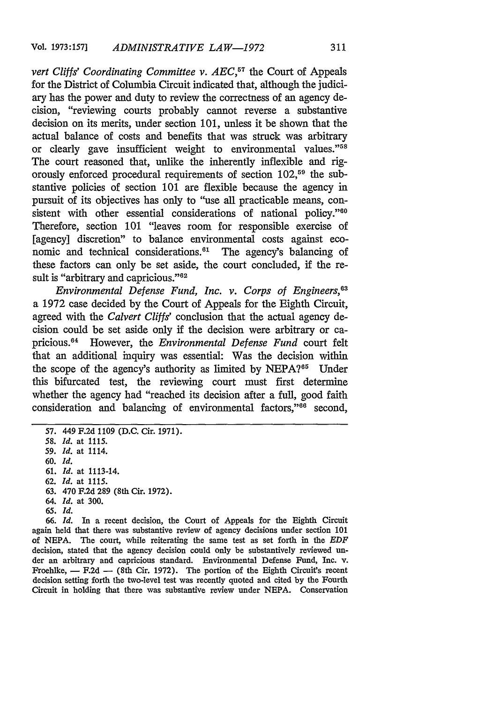*vert Cliffs' Coordinating Committee v. AEC,57* the Court of Appeals for the District of Columbia Circuit indicated that, although the judiciary has the power and duty to review the correctness of an agency decision, "reviewing courts probably cannot reverse a substantive decision on its merits, under section 101, unless it be shown that the actual balance of costs and benefits that was struck was arbitrary or clearly gave insufficient weight to environmental values."<sup>58</sup> The court reasoned that, unlike the inherently inflexible and rigorously enforced procedural requirements of section  $102$ <sup>59</sup> the substantive policies of section 101 are flexible because the agency in pursuit of its objectives has only to "use all practicable means, consistent with other essential considerations of national policy."<sup>60</sup> Therefore, section 101 "leaves room for responsible exercise of [agency] discretion" to balance environmental costs against economic and technical considerations.<sup>61</sup> The agency's balancing of these factors can only be set aside, the court concluded, if the result is "arbitrary and capricious."<sup>62</sup>

*Environmental Defense Fund, Inc. v. Corps of Engineers*,<sup>63</sup> a 1972 case decided by the Court of Appeals for the Eighth Circuit, agreed with the *Calvert Cliffs'* conclusion that the actual agency decision could be set aside only if the decision were arbitrary or capricious.6 4 However, the *Environmental Defense Fund* court felt that an additional inquiry was essential: Was the decision within the scope of the agency's authority as limited by NEPA?<sup>65</sup> Under this bifurcated test, the reviewing court must first determine whether the agency had "reached its decision after a full, good faith consideration and balancing of environmental factors,"<sup>66</sup> second,

- **61.** *Id.* at 1113-14.
- 62. *Id.* at **1115.**
- 63. 470 F.2d 289 (8th Cir. 1972).
- 64. *Id.* at 300. **65.** *Id.*

**66.** *Id.* In a recent decision, the Court of Appeals for the Eighth Circuit again held that there was substantive review of agency decisions under section 101 of **NEPA.** The court, while reiterating the same test as set forth in the *EDF* decision, stated that the agency decision could only be substantively reviewed under an arbitrary and capricious standard. Environmental Defense Fund, Inc. v. Froehlke, - F.2d - (8th Cir. 1972). The portion of the Eighth Circuit's recent decision setting forth the two-level test was recently quoted and cited by the Fourth Circuit in holding that there was substantive review under NEPA. Conservation

<sup>57. 449</sup> F.2d 1109 (D.C. Cir. 1971).

<sup>58.</sup> *Id.* at 1115.

<sup>59.</sup> *Id.* at 1114.

**<sup>60.</sup>** *Id.*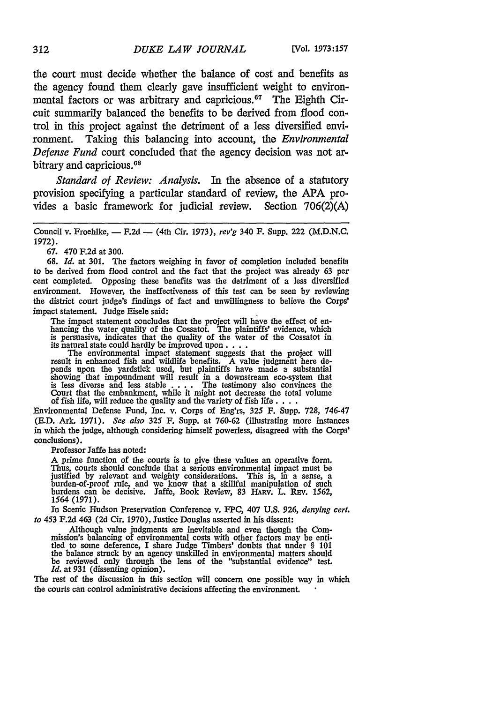the court must decide whether the balance of cost and benefits as the agency found them clearly gave insufficient weight to environmental factors or was arbitrary and capricious.<sup>67</sup> The Eighth Circuit summarily balanced the benefits to be derived from flood control in this project against the detriment of a less diversified environment. Taking this balancing into account, the *Environmental Defense Fund* court concluded that the agency decision was not arbitrary and capricious.<sup>68</sup>

*Standard of Review: Analysis.* In the absence of a statutory provision specifying a particular standard of review, the APA provides a basic framework for judicial review. Section 706(2)(A)

Council v. Froehlke,  $-$  F.2d  $-$  (4th Cir. 1973), rev'g 340 F. Supp. 222 (M,D,N,C. 1972).

**67.** 470 **F.2d** at **300.**

**68.** *Id.* at **301.** The factors weighing in favor of completion included benefits to be derived from flood control and the fact that the project was already 63 per cent completed. Opposing these benefits was the detriment of a less diversified environment. However, the ineffectiveness of this test can be seen by reviewing the district court judge's findings of fact and unwillingness to believe the Corps' impact statement. Judge Eisele said:

The impact statement concludes that the project will have the effect of en-<br>hancing the water quality of the Cossatot. The plaintiffs' evidence, which is persuasive, indicates that the quality of the water of the Cossatot in its natural state could hardly be improved upon .... The environmental impact statement suggests that the project will

result in enhanced fish and wildlife benefits. A value judgment here de-pends upon the yardstick used, but plaintiffs have made a substantial showing that impoundment will result in a downstream eco-system that<br>is less diverse and less stable .... The testimony also convinces the<br>Court that the embankment, while it might not decrease the total volume<br>of fish li

Environmental Defense Fund, Inc. v. Corps of Eng'rs, *325* F. Supp. 728, 746-47 (E.D. Ark. 1971). *See also* **325** F. Supp. at 760-62 (illustrating more instances in which the judge, although considering himself powerless, disagreed with the Corps' conclusions).

Professor Jaffe has noted:

A prime function of the courts is to give these values an operative form. Thus, courts should conclude that a serious environmental impact must be justified by relevant and weighty considerations. This is, in a sense, a burden-of-proof rule, and we know that a skillful manipulation of such burdens can be decisive. Jaffe, Book Review, 83 HARV. L. REV. 1562,<br>1564 (1971).

In Scenic Hudson Preservation Conference v. FPC, 407 U.S. 926, *denying cert. to* 453 F.2d 463 (2d Cir. 1970), Justice Douglas asserted in his dissent:

Although value judgments are inevitable and even though the Commission's balancing of environmental costs with other factors may be enti-tled to some deference, I share Judge Timbers' doubts that under § 101 the balance struck by an agency unskilled in environmental matters should be reviewed only through the lens of the "substantial evidence" test. *Id.* at 931 (dissenting opinion).

The rest of the discussion in this section will concern one possible way in which the courts can control administrative decisions affecting the environment.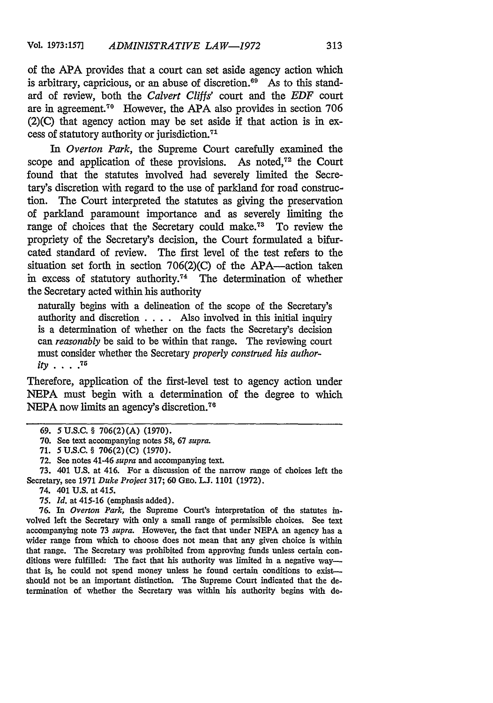of the APA provides that a court can set aside agency action which is arbitrary, capricious, or an abuse of discretion. $69$  As to this standard of review, both the *Calvert Cliffs'* court and the *EDF* court are in agreement. 70 However, the APA also provides in section 706 **(2)(C)** that agency action may be set aside if that action is in excess of statutory authority or jurisdiction.<sup>71</sup>

*In Overton Park,* the Supreme Court carefully examined the scope and application of these provisions. As noted,<sup>72</sup> the Court found that the statutes involved had severely limited the Secretary's discretion with regard to the use of parkland for road construction. The Court interpreted the statutes as giving the preservation of parkland paramount importance and as severely limiting the range of choices that the Secretary could make.<sup>73</sup> To review the propriety of the Secretary's decision, the Court formulated a bifurcated standard of review. The first level of the test refers to the situation set forth in section  $706(2)(C)$  of the APA--action taken in excess of statutory authority.<sup>74</sup> The determination of whether the Secretary acted within his authority

naturally begins with a delineation of the scope of the Secretary's authority and discretion .... Also involved in this initial inquiry is a determination of whether on the facts the Secretary's decision *can reasonably* be said to be within that range. The reviewing court must consider whether the Secretary *properly construed his authority* **.... <sup>75</sup>**

Therefore, application of the first-level test to agency action under NEPA must begin with a determination of the degree to which NEPA now limits an agency's discretion.76

73. 401 U.S. at 416. For a discussion of the narrow range of choices left the Secretary, see 1971 *Duke Project* 317; 60 GEO. **L.J.** 1101 (1972).

- 74. 401 U.S. at 415.
- 75. *Id.* at 415-16 (emphasis added).

76. In *Overton Park,* the Supreme Court's interpretation of the statutes involved left the Secretary with only a small range of permissible choices. See text accompanying note 73 *supra.* However, the fact that under NEPA an agency has a wider range from which to choose does not mean that any given choice is within that range. The Secretary was prohibited from approving funds unless certain conditions were fulfilled: The fact that his authority was limited in a negative way-that is, he could not spend money unless he found certain conditions to existshould not be an important distinction. The Supreme Court indicated that the determination of whether the Secretary was within his authority begins with de-

<sup>69.</sup> 5 U.S.C. § 706(2)(A) (1970).

<sup>70.</sup> See text accompanying notes 58, 67 *supra.*

<sup>71. 5</sup> U.S.C. § 706(2)(C) (1970).

<sup>72.</sup> See notes 41-46 *supra* and accompanying text.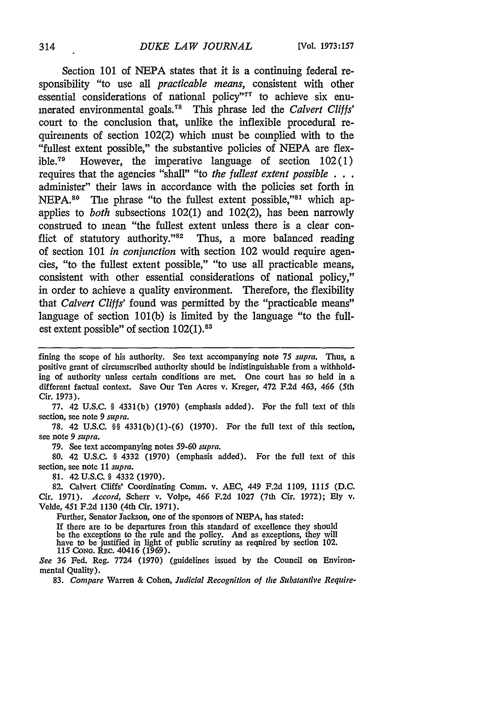Section 101 of NEPA states that it is a continuing federal responsibility "to use all *practicable means,* consistent with other essential considerations of national policy"<sup>77</sup> to achieve six enumerated environmental goals **. <sup>7</sup>**This phrase led the *Calvert Cliffs'* court to the conclusion that, unlike the inflexible procedural requirements of section 102(2) which must be complied with to the "fullest extent possible," the substantive policies of NEPA are flexible.<sup>79</sup> However, the imperative language of section  $102(1)$ requires that the agencies "shall" "to *the fullest extent possible* **...** administer" their laws in accordance with the policies set forth in NEPA.<sup>80</sup> The phrase "to the fullest extent possible,"<sup>81</sup> which apapplies to *both* subsections 102(1) and 102(2), has been narrowly construed to mean "the fullest extent unless there is a clear conflict of statutory authority." $82$  Thus, a more balanced reading of section 101 *in conjunction* with section 102 would require agencies, "to the fullest extent possible," "to use all practicable means, consistent with other essential considerations of national policy," in order to achieve a quality environment. Therefore, the flexibility that *Calvert Cliffs'* found was permitted by the "practicable means" language of section 101(b) is limited by the language "to the fullest extent possible" of section 102(1).<sup>83</sup>

fining the scope of his authority. See text accompanying note **75** *supra.* Thus, a positive grant of circumscribed authority should be indistinguishable from a withholding of authority unless certain conditions are met. One court has so held in a different factual context. Save Our Ten Acres v. Kreger, 472 F.2d 463, 466 (5th Cir. 1973).

77. 42 U.S.C. § 4331(b) (1970) (emphasis added). For the full text of this section, see note 9 *supra.*

78. 42 U.S.C. §§ 4331(b)(1)-(6) (1970). For the full text of this section, see note 9 *supra.*

79. See text accompanying notes *59-60 supra.*

80. 42 U.S.C. § 4332 (1970) (emphasis added). For the full text of this section, see note 11 *supra.*

81. 42 U.S.C. § 4332 (1970).

82. Calvert Cliffs' Coordinating Comm. v. AEC, 449 F.2d 1109, 1115 (D.C. Cir. 1971). *Accord,* Scherr v. Volpe, 466 F.2d 1027 (7th Cir. 1972); **Ely** v. Velde, 451 F.2d 1130 (4th Cir. 1971).

Further, Senator Jackson, one of the sponsors of NEPA, has stated: If there are to be departures from this standard of excellence they should be the exceptions to the rule and the policy. And as exceptions, they will have to be justified in light of public scrutiny as required by section 102. 115 CONG. REc. 40416 **(1969).**

*See* 36 Fed. Reg. 7724 (1970) (guidelines issued by the Council on Environmental Quality).

83. *Compare* Warren & Cohen, *Judicial Recognition of the Substantive Require-*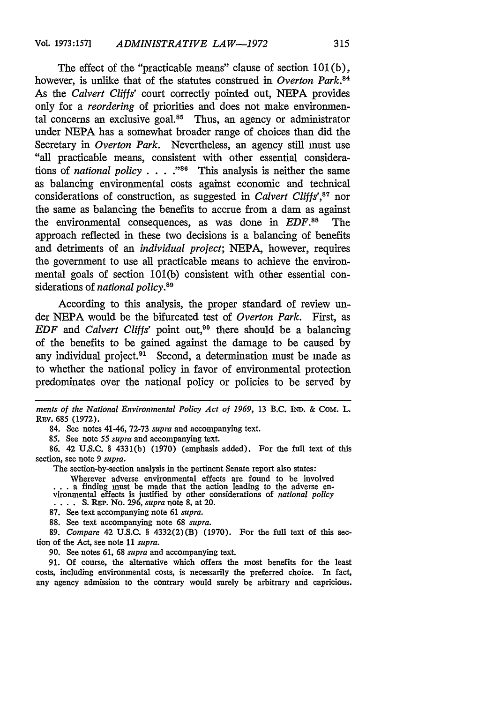The effect of the "practicable means" clause of section 101(b), however, is unlike that of the statutes construed in *Overton Park.84* As the *Calvert Cliffs'* court correctly pointed out, NEPA provides only for a *reordering* of priorities and does not make environmental concerns an exclusive goal. $85$  Thus, an agency or administrator under NEPA has a somewhat broader range of choices than did the Secretary in *Overton Park.* Nevertheless, an agency still must use "all practicable means, consistent with other essential considerations of *national policy*  $\ldots$   $\ldots$  <sup>286</sup> This analysis is neither the same as balancing environmental costs against economic and technical considerations of construction, as suggested in *Calvert Cliffs',87* nor the same as balancing the benefits to accrue from a dam as against the environmental consequences, as was done in *EDF*.<sup>88</sup> The approach reflected in these two decisions is a balancing of benefits and detriments of an *individual project;* NEPA, however, requires the government to use all practicable means to achieve the environmental goals of section 101(b) consistent with other essential considerations of *national policy.8 <sup>9</sup>*

According to this analysis, the proper standard of review under NEPA would be the bifurcated test of *Overton Park.* First, as *EDF* and *Calvert Cliffs'* point out,<sup>90</sup> there should be a balancing of the benefits to be gained against the damage to be caused by any individual project. $91$  Second, a determination must be made as to whether the national policy in favor of environmental protection predominates over the national policy or policies to be served by

84. See notes 41-46, 72-73 *supra* and accompanying text.

**85.** See note *55 supra* and accompanying text.

86. 42 U.S.C. § 4331(b) (1970) (emphasis added). For the full text of this section, see note **9** *supra.*

The section-by-section analysis in the pertinent Senate report also states:

Wherever adverse environmental effects are found to be involved . . . a finding must be made that the action leading to the adverse environmental effects is justified by other considerations of *national policy* 

. ... **S.** REP. No. **296,** *supra* note **8,** at 20.

**87.** See text accompanying note **61** *supra.*

**88.** See text accompanying note **68** *supra.*

**89.** *Compare* 42 **U.S.C.** § 4332(2) (B) **(1970).** For the full text of this section of the Act, see note **11** *supra.*

**90.** See notes **61, 68** *supra* and accompanying text.

**91. Of** course, the alternative which offers the most benefits for the least costs, including environmental costs, is necessarily the preferred choice. In fact, any agency admission to the contrary would surely be arbitrary and capricious.

*ments of the National Environmental Policy Act of 1969,* 13 B.C. IND. & COM. L. REV. **685** (1972).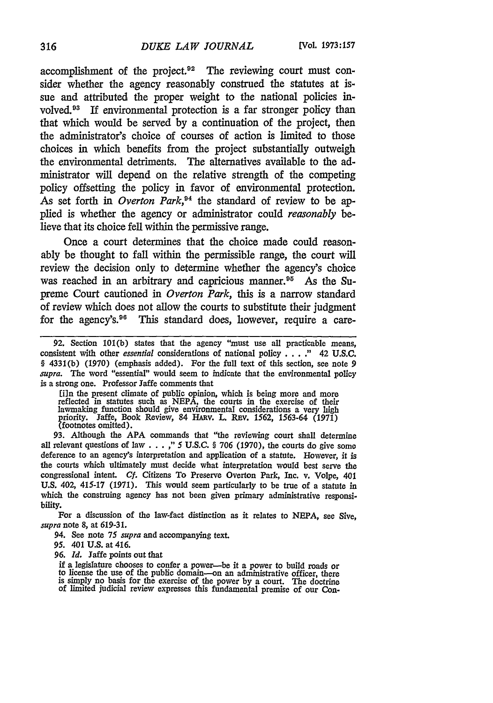accomplishment of the project.<sup>92</sup> The reviewing court must consider whether the agency reasonably construed the statutes at issue and attributed the proper weight to the national policies involved.93 If environmental protection is a far stronger policy than that which would be served by a continuation of the project, then the administrator's choice of courses of action is limited to those choices in which benefits from the project substantially outweigh the environmental detriments. The alternatives available to the administrator will depend on the relative strength of the competing policy offsetting the policy in favor of environmental protection. As set forth in *Overton Park*,<sup>94</sup> the standard of review to be applied is whether the agency or administrator could *reasonably* believe that its choice fell within the permissive range.

Once a court determines that the choice made could reasonably be thought to fall within the permissible range, the court will review the decision only to determine whether the agency's choice was reached in an arbitrary and capricious manner.<sup>95</sup> As the Supreme Court cautioned in *Overton Park,* this is a narrow standard of review which does not allow the courts to substitute their judgment for the agency's.<sup>96</sup> This standard does, however, require a care-

filn the present climate of public opinion, which is being more and more reflected in statutes such as **NEPA,** the courts in the exercise of their lawmaking function should give environmental considerations a very high priority. Jaffe, Book Review, 84 HARv. L. REV. 1562, 1563-64 (1971) (footnotes omitted).

93. Although the **APA** commands that "the reviewing court shall determine all relevant questions of law **. .** . *," 5* **U.S.C.** § 706 (1970), the courts do give some deference to an agency's interpretation and application of a statute. However, it is the courts which ultimately must decide what interpretation would best serve the congressional intent. **Cf.** Citizens To Preserve Overton Park, Inc. v. Volpe, 401 **U.S.** 402, 415-17 (1971). This would seem particularly to be true of a statute in which the construing agency has not been given primary administrative responsibility.

For a discussion of the law-fact distinction as it relates to **NEPA,** see Sive, *supra* note **8,** at 619-31.

94. See note 75 *supra* and accompanying text.

*95.* 401 **U.S.** at 416.

*96. Id.* Jaffe points out that

if a legislature chooses to confer a power-be it a power to build roads or to license the use of the public domain-on an administrative officer, there is simply no basis for the exercise of the power by a court. The doctrine of limited judicial review expresses this fundamental premise of our Con-

**<sup>92.</sup>** Section 101(b) states that the agency "must use all practicable means, consistent with other *essential* considerations of national policy .... **."** 42 **U.S.C.** § 4331(b) (1970) (emphasis added). For the full text of this section, see note 9 *supra.* The word "essential" would seem to indicate that the environmental policy is a strong one. Professor Jaffe comments that